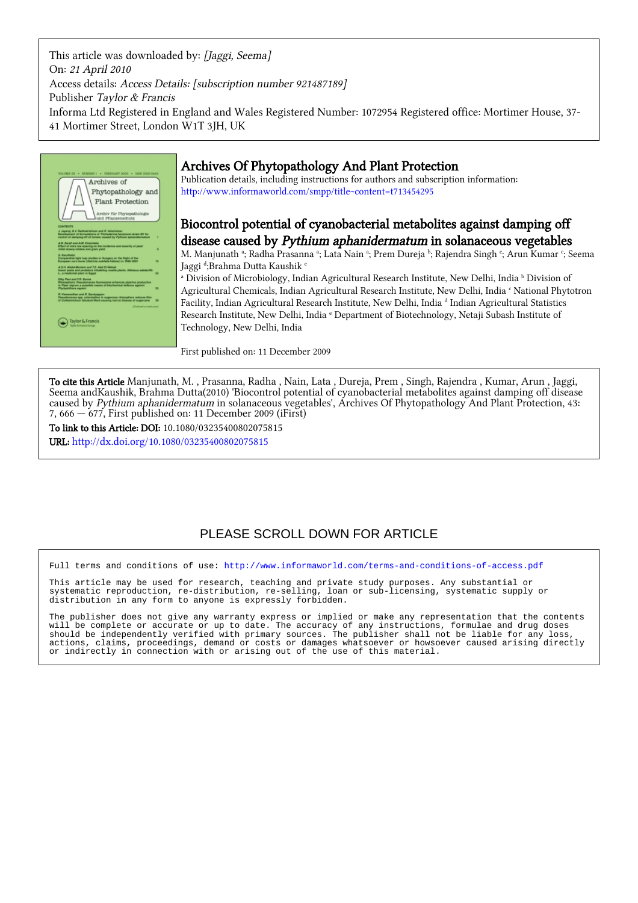This article was downloaded by: [Jaggi, Seema] On: 21 April 2010 Access details: Access Details: [subscription number 921487189] Publisher Taylor & Francis Informa Ltd Registered in England and Wales Registered Number: 1072954 Registered office: Mortimer House, 37- 41 Mortimer Street, London W1T 3JH, UK



# Archives Of Phytopathology And Plant Protection

Publication details, including instructions for authors and subscription information: <http://www.informaworld.com/smpp/title~content=t713454295>

## Biocontrol potential of cyanobacterial metabolites against damping off disease caused by Pythium aphanidermatum in solanaceous vegetables

M. Manjunath <sup>a</sup>; Radha Prasanna <sup>a</sup>; Lata Nain <sup>a</sup>; Prem Dureja <sup>b</sup>; Rajendra Singh <sup>c</sup>; Arun Kumar <sup>c</sup>; Seema Jaggi <sup>d</sup>;Brahma Dutta Kaushik <sup>e</sup>

<sup>a</sup> Division of Microbiology, Indian Agricultural Research Institute, New Delhi, India <sup>b</sup> Division of Agricultural Chemicals, Indian Agricultural Research Institute, New Delhi, India <sup>c</sup> National Phytotron Facility, Indian Agricultural Research Institute, New Delhi, India <sup>d</sup> Indian Agricultural Statistics Research Institute, New Delhi, India <sup>e</sup> Department of Biotechnology, Netaji Subash Institute of Technology, New Delhi, India

First published on: 11 December 2009

To cite this Article Manjunath, M. , Prasanna, Radha , Nain, Lata , Dureja, Prem , Singh, Rajendra , Kumar, Arun , Jaggi, Seema andKaushik, Brahma Dutta(2010) 'Biocontrol potential of cyanobacterial metabolites against damping off disease caused by Pythium aphanidermatum in solanaceous vegetables', Archives Of Phytopathology And Plant Protection, 43: 7, 666 — 677, First published on: 11 December 2009 (iFirst)

To link to this Article: DOI: 10.1080/03235400802075815 URL: <http://dx.doi.org/10.1080/03235400802075815>

# PLEASE SCROLL DOWN FOR ARTICLE

Full terms and conditions of use:<http://www.informaworld.com/terms-and-conditions-of-access.pdf>

This article may be used for research, teaching and private study purposes. Any substantial or systematic reproduction, re-distribution, re-selling, loan or sub-licensing, systematic supply or distribution in any form to anyone is expressly forbidden.

The publisher does not give any warranty express or implied or make any representation that the contents will be complete or accurate or up to date. The accuracy of any instructions, formulae and drug doses should be independently verified with primary sources. The publisher shall not be liable for any loss, actions, claims, proceedings, demand or costs or damages whatsoever or howsoever caused arising directly or indirectly in connection with or arising out of the use of this material.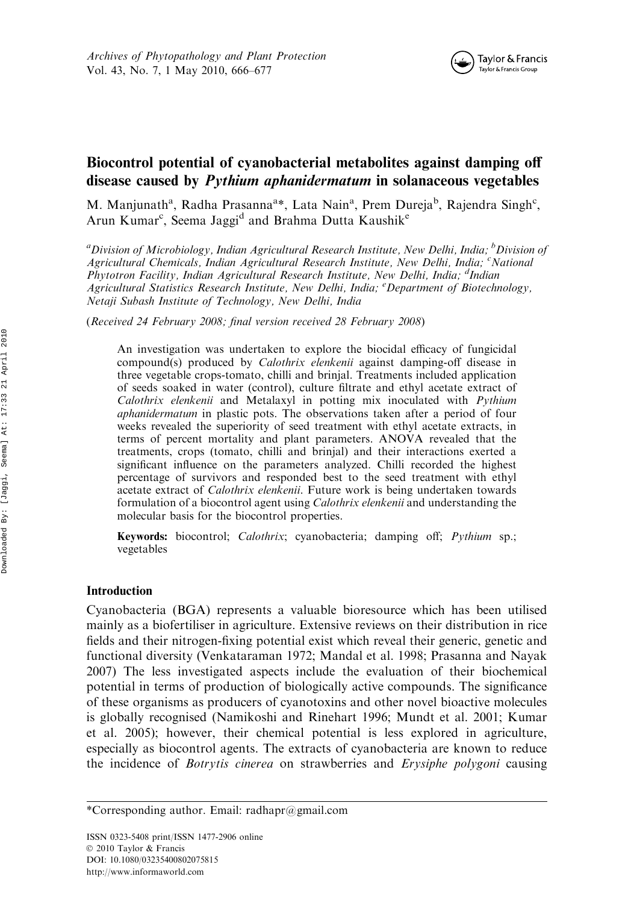

## Biocontrol potential of cyanobacterial metabolites against damping off disease caused by Pythium aphanidermatum in solanaceous vegetables

M. Manjunath<sup>a</sup>, Radha Prasanna<sup>a\*</sup>, Lata Nain<sup>a</sup>, Prem Dureja<sup>b</sup>, Rajendra Singh<sup>c</sup>, Arun Kumar<sup>c</sup>, Seema Jaggi<sup>d</sup> and Brahma Dutta Kaushik<sup>e</sup>

<sup>a</sup>Division of Microbiology, Indian Agricultural Research Institute, New Delhi, India; <sup>b</sup>Division of Agricultural Chemicals, Indian Agricultural Research Institute, New Delhi, India; <sup>c</sup>National Phytotron Facility, Indian Agricultural Research Institute, New Delhi, India; <sup>d</sup>Indian Agricultural Statistics Research Institute, New Delhi, India; <sup>e</sup> Department of Biotechnology, Netaji Subash Institute of Technology, New Delhi, India

(Received 24 February 2008; final version received 28 February 2008)

An investigation was undertaken to explore the biocidal efficacy of fungicidal compound(s) produced by *Calothrix elenkenii* against damping-off disease in three vegetable crops-tomato, chilli and brinjal. Treatments included application of seeds soaked in water (control), culture filtrate and ethyl acetate extract of Calothrix elenkenii and Metalaxyl in potting mix inoculated with Pythium aphanidermatum in plastic pots. The observations taken after a period of four weeks revealed the superiority of seed treatment with ethyl acetate extracts, in terms of percent mortality and plant parameters. ANOVA revealed that the treatments, crops (tomato, chilli and brinjal) and their interactions exerted a significant influence on the parameters analyzed. Chilli recorded the highest percentage of survivors and responded best to the seed treatment with ethyl acetate extract of Calothrix elenkenii. Future work is being undertaken towards formulation of a biocontrol agent using Calothrix elenkenii and understanding the molecular basis for the biocontrol properties.

Keywords: biocontrol; Calothrix; cyanobacteria; damping off; Pythium sp.; vegetables

## Introduction

Cyanobacteria (BGA) represents a valuable bioresource which has been utilised mainly as a biofertiliser in agriculture. Extensive reviews on their distribution in rice fields and their nitrogen-fixing potential exist which reveal their generic, genetic and functional diversity (Venkataraman 1972; Mandal et al. 1998; Prasanna and Nayak 2007) The less investigated aspects include the evaluation of their biochemical potential in terms of production of biologically active compounds. The significance of these organisms as producers of cyanotoxins and other novel bioactive molecules is globally recognised (Namikoshi and Rinehart 1996; Mundt et al. 2001; Kumar et al. 2005); however, their chemical potential is less explored in agriculture, especially as biocontrol agents. The extracts of cyanobacteria are known to reduce the incidence of *Botrytis cinerea* on strawberries and *Erysiphe polygoni* causing

<sup>\*</sup>Corresponding author. Email: radhapr@gmail.com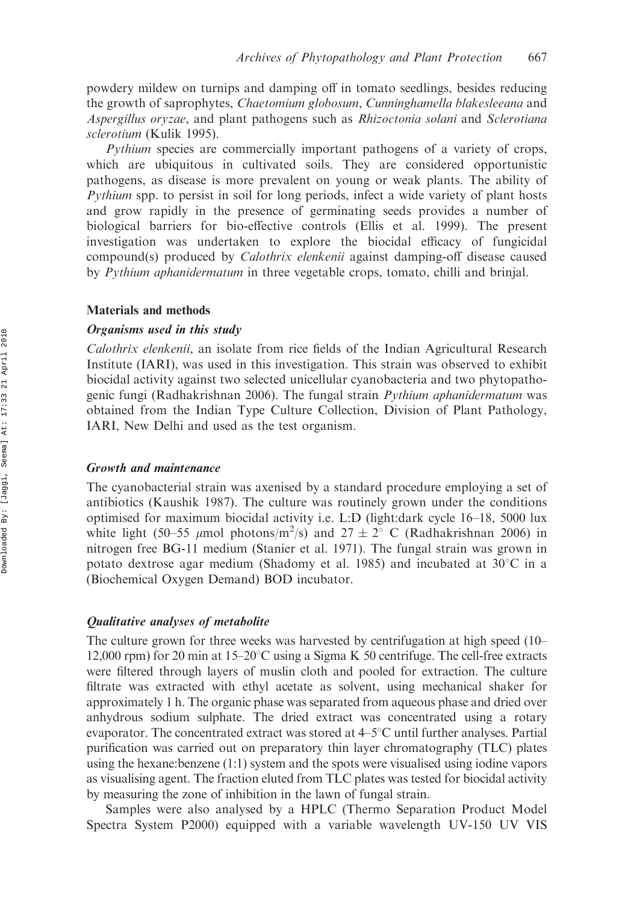powdery mildew on turnips and damping off in tomato seedlings, besides reducing the growth of saprophytes, Chaetomium globosum, Cunninghamella blakesleeana and Aspergillus oryzae, and plant pathogens such as Rhizoctonia solani and Sclerotiana sclerotium (Kulik 1995).

Pythium species are commercially important pathogens of a variety of crops, which are ubiquitous in cultivated soils. They are considered opportunistic pathogens, as disease is more prevalent on young or weak plants. The ability of Pythium spp. to persist in soil for long periods, infect a wide variety of plant hosts and grow rapidly in the presence of germinating seeds provides a number of biological barriers for bio-effective controls (Ellis et al. 1999). The present investigation was undertaken to explore the biocidal efficacy of fungicidal compound(s) produced by Calothrix elenkenii against damping-off disease caused by *Pythium aphanidermatum* in three vegetable crops, tomato, chilli and brinjal.

#### Materials and methods

#### Organisms used in this study

Calothrix elenkenii, an isolate from rice fields of the Indian Agricultural Research Institute (IARI), was used in this investigation. This strain was observed to exhibit biocidal activity against two selected unicellular cyanobacteria and two phytopathogenic fungi (Radhakrishnan 2006). The fungal strain *Pythium aphanidermatum* was obtained from the Indian Type Culture Collection, Division of Plant Pathology, IARI, New Delhi and used as the test organism.

## Growth and maintenance

The cyanobacterial strain was axenised by a standard procedure employing a set of antibiotics (Kaushik 1987). The culture was routinely grown under the conditions optimised for maximum biocidal activity i.e. L:D (light:dark cycle 16–18, 5000 lux white light (50–55  $\mu$ mol photons/m<sup>2</sup>/s) and 27  $\pm$  2° C (Radhakrishnan 2006) in nitrogen free BG-11 medium (Stanier et al. 1971). The fungal strain was grown in potato dextrose agar medium (Shadomy et al. 1985) and incubated at  $30^{\circ}$ C in a (Biochemical Oxygen Demand) BOD incubator.

## Qualitative analyses of metabolite

The culture grown for three weeks was harvested by centrifugation at high speed (10– 12,000 rpm) for 20 min at  $15-20^{\circ}$ C using a Sigma K 50 centrifuge. The cell-free extracts were filtered through layers of muslin cloth and pooled for extraction. The culture filtrate was extracted with ethyl acetate as solvent, using mechanical shaker for approximately 1 h. The organic phase was separated from aqueous phase and dried over anhydrous sodium sulphate. The dried extract was concentrated using a rotary evaporator. The concentrated extract was stored at  $4-5^{\circ}$ C until further analyses. Partial purification was carried out on preparatory thin layer chromatography (TLC) plates using the hexane:benzene (1:1) system and the spots were visualised using iodine vapors as visualising agent. The fraction eluted from TLC plates was tested for biocidal activity by measuring the zone of inhibition in the lawn of fungal strain.

Samples were also analysed by a HPLC (Thermo Separation Product Model Spectra System P2000) equipped with a variable wavelength UV-150 UV VIS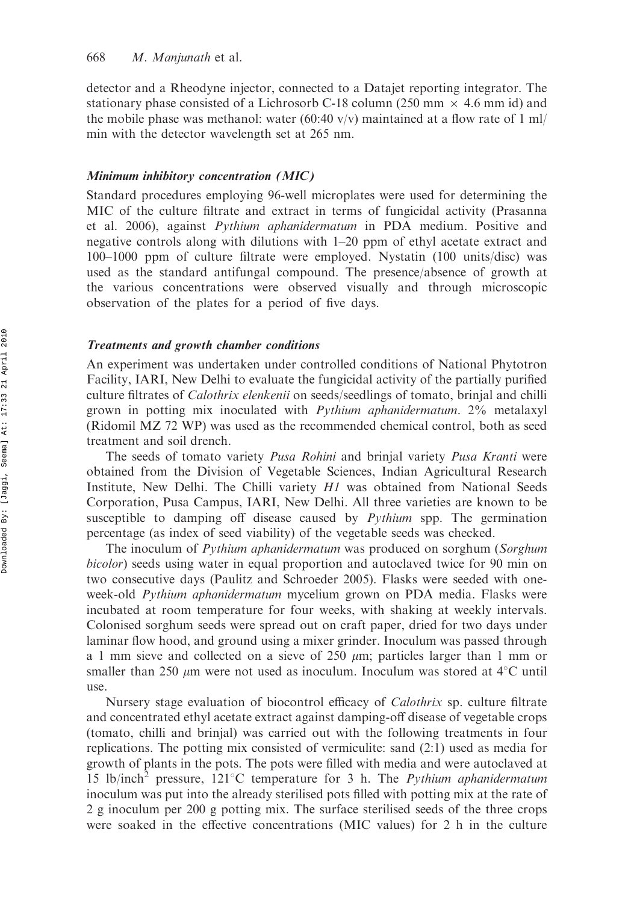detector and a Rheodyne injector, connected to a Datajet reporting integrator. The stationary phase consisted of a Lichrosorb C-18 column (250 mm  $\times$  4.6 mm id) and the mobile phase was methanol: water (60:40 v/v) maintained at a flow rate of 1 ml/ min with the detector wavelength set at 265 nm.

### Minimum inhibitory concentration (MIC)

Standard procedures employing 96-well microplates were used for determining the MIC of the culture filtrate and extract in terms of fungicidal activity (Prasanna et al. 2006), against Pythium aphanidermatum in PDA medium. Positive and negative controls along with dilutions with 1–20 ppm of ethyl acetate extract and 100–1000 ppm of culture filtrate were employed. Nystatin (100 units/disc) was used as the standard antifungal compound. The presence/absence of growth at the various concentrations were observed visually and through microscopic observation of the plates for a period of five days.

#### Treatments and growth chamber conditions

An experiment was undertaken under controlled conditions of National Phytotron Facility, IARI, New Delhi to evaluate the fungicidal activity of the partially purified culture filtrates of *Calothrix elenkenii* on seeds/seedlings of tomato, brinjal and chilli grown in potting mix inoculated with Pythium aphanidermatum. 2% metalaxyl (Ridomil MZ 72 WP) was used as the recommended chemical control, both as seed treatment and soil drench.

The seeds of tomato variety *Pusa Rohini* and brinjal variety *Pusa Kranti* were obtained from the Division of Vegetable Sciences, Indian Agricultural Research Institute, New Delhi. The Chilli variety H1 was obtained from National Seeds Corporation, Pusa Campus, IARI, New Delhi. All three varieties are known to be susceptible to damping off disease caused by Pythium spp. The germination percentage (as index of seed viability) of the vegetable seeds was checked.

The inoculum of *Pythium aphanidermatum* was produced on sorghum (*Sorghum* bicolor) seeds using water in equal proportion and autoclaved twice for 90 min on two consecutive days (Paulitz and Schroeder 2005). Flasks were seeded with oneweek-old *Pythium aphanidermatum* mycelium grown on PDA media. Flasks were incubated at room temperature for four weeks, with shaking at weekly intervals. Colonised sorghum seeds were spread out on craft paper, dried for two days under laminar flow hood, and ground using a mixer grinder. Inoculum was passed through a 1 mm sieve and collected on a sieve of 250  $\mu$ m; particles larger than 1 mm or smaller than 250  $\mu$ m were not used as inoculum. Inoculum was stored at 4<sup>o</sup>C until use.

Nursery stage evaluation of biocontrol efficacy of Calothrix sp. culture filtrate and concentrated ethyl acetate extract against damping-off disease of vegetable crops (tomato, chilli and brinjal) was carried out with the following treatments in four replications. The potting mix consisted of vermiculite: sand (2:1) used as media for growth of plants in the pots. The pots were filled with media and were autoclaved at 15 lb/inch<sup>2</sup> pressure, 121 °C temperature for 3 h. The *Pythium aphanidermatum* inoculum was put into the already sterilised pots filled with potting mix at the rate of 2 g inoculum per 200 g potting mix. The surface sterilised seeds of the three crops were soaked in the effective concentrations (MIC values) for 2 h in the culture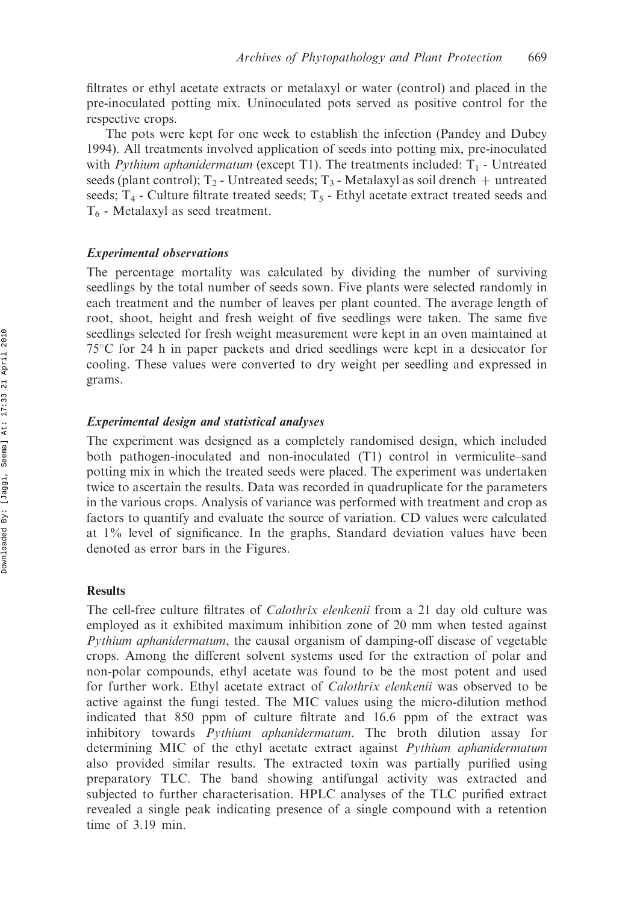filtrates or ethyl acetate extracts or metalaxyl or water (control) and placed in the pre-inoculated potting mix. Uninoculated pots served as positive control for the respective crops.

The pots were kept for one week to establish the infection (Pandey and Dubey 1994). All treatments involved application of seeds into potting mix, pre-inoculated with *Pythium aphanidermatum* (except T1). The treatments included:  $T_1$  - Untreated seeds (plant control);  $T_2$  - Untreated seeds;  $T_3$  - Metalaxyl as soil drench  $+$  untreated seeds;  $T_4$  - Culture filtrate treated seeds;  $T_5$  - Ethyl acetate extract treated seeds and  $T<sub>6</sub>$  - Metalaxyl as seed treatment.

## Experimental observations

The percentage mortality was calculated by dividing the number of surviving seedlings by the total number of seeds sown. Five plants were selected randomly in each treatment and the number of leaves per plant counted. The average length of root, shoot, height and fresh weight of five seedlings were taken. The same five seedlings selected for fresh weight measurement were kept in an oven maintained at  $75^{\circ}$ C for 24 h in paper packets and dried seedlings were kept in a desiccator for cooling. These values were converted to dry weight per seedling and expressed in grams.

## Experimental design and statistical analyses

The experiment was designed as a completely randomised design, which included both pathogen-inoculated and non-inoculated (T1) control in vermiculite–sand potting mix in which the treated seeds were placed. The experiment was undertaken twice to ascertain the results. Data was recorded in quadruplicate for the parameters in the various crops. Analysis of variance was performed with treatment and crop as factors to quantify and evaluate the source of variation. CD values were calculated at 1% level of significance. In the graphs, Standard deviation values have been denoted as error bars in the Figures.

## **Results**

The cell-free culture filtrates of Calothrix elenkenii from a 21 day old culture was employed as it exhibited maximum inhibition zone of 20 mm when tested against Pythium aphanidermatum, the causal organism of damping-off disease of vegetable crops. Among the different solvent systems used for the extraction of polar and non-polar compounds, ethyl acetate was found to be the most potent and used for further work. Ethyl acetate extract of *Calothrix elenkenii* was observed to be active against the fungi tested. The MIC values using the micro-dilution method indicated that 850 ppm of culture filtrate and 16.6 ppm of the extract was inhibitory towards Pythium aphanidermatum. The broth dilution assay for determining MIC of the ethyl acetate extract against Pythium aphanidermatum also provided similar results. The extracted toxin was partially purified using preparatory TLC. The band showing antifungal activity was extracted and subjected to further characterisation. HPLC analyses of the TLC purified extract revealed a single peak indicating presence of a single compound with a retention time of 3.19 min.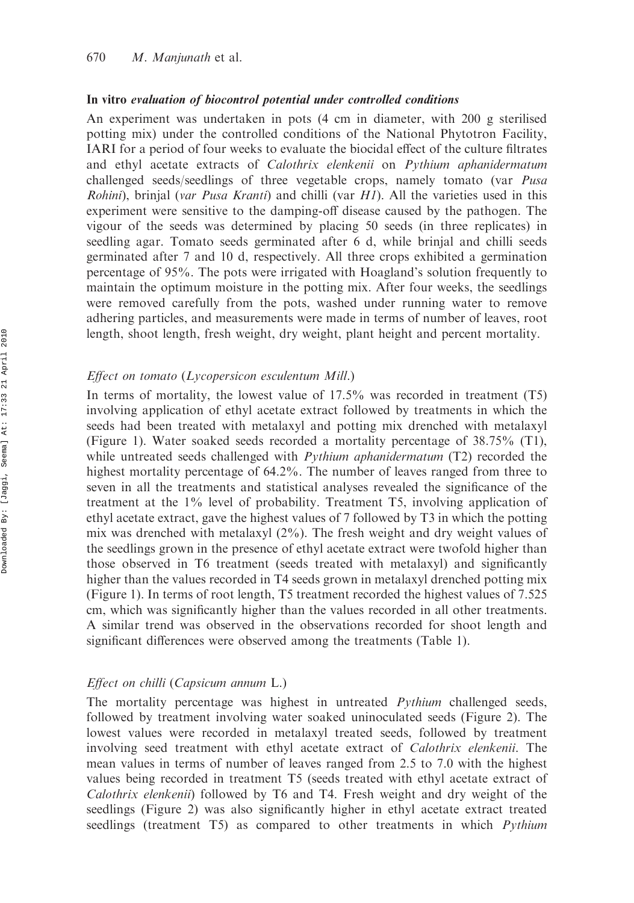#### In vitro evaluation of biocontrol potential under controlled conditions

An experiment was undertaken in pots (4 cm in diameter, with 200 g sterilised potting mix) under the controlled conditions of the National Phytotron Facility, IARI for a period of four weeks to evaluate the biocidal effect of the culture filtrates and ethyl acetate extracts of Calothrix elenkenii on Pythium aphanidermatum challenged seeds/seedlings of three vegetable crops, namely tomato (var *Pusa* Rohini), brinjal (var Pusa Kranti) and chilli (var H1). All the varieties used in this experiment were sensitive to the damping-off disease caused by the pathogen. The vigour of the seeds was determined by placing 50 seeds (in three replicates) in seedling agar. Tomato seeds germinated after 6 d, while brinjal and chilli seeds germinated after 7 and 10 d, respectively. All three crops exhibited a germination percentage of 95%. The pots were irrigated with Hoagland's solution frequently to maintain the optimum moisture in the potting mix. After four weeks, the seedlings were removed carefully from the pots, washed under running water to remove adhering particles, and measurements were made in terms of number of leaves, root length, shoot length, fresh weight, dry weight, plant height and percent mortality.

### Effect on tomato (Lycopersicon esculentum Mill.)

In terms of mortality, the lowest value of 17.5% was recorded in treatment (T5) involving application of ethyl acetate extract followed by treatments in which the seeds had been treated with metalaxyl and potting mix drenched with metalaxyl (Figure 1). Water soaked seeds recorded a mortality percentage of 38.75% (T1), while untreated seeds challenged with *Pythium aphanidermatum* (T2) recorded the highest mortality percentage of 64.2%. The number of leaves ranged from three to seven in all the treatments and statistical analyses revealed the significance of the treatment at the 1% level of probability. Treatment T5, involving application of ethyl acetate extract, gave the highest values of 7 followed by T3 in which the potting mix was drenched with metalaxyl (2%). The fresh weight and dry weight values of the seedlings grown in the presence of ethyl acetate extract were twofold higher than those observed in T6 treatment (seeds treated with metalaxyl) and significantly higher than the values recorded in T4 seeds grown in metalaxyl drenched potting mix (Figure 1). In terms of root length, T5 treatment recorded the highest values of 7.525 cm, which was significantly higher than the values recorded in all other treatments. A similar trend was observed in the observations recorded for shoot length and significant differences were observed among the treatments (Table 1).

## Effect on chilli (Capsicum annum L.)

The mortality percentage was highest in untreated *Pythium* challenged seeds, followed by treatment involving water soaked uninoculated seeds (Figure 2). The lowest values were recorded in metalaxyl treated seeds, followed by treatment involving seed treatment with ethyl acetate extract of Calothrix elenkenii. The mean values in terms of number of leaves ranged from 2.5 to 7.0 with the highest values being recorded in treatment T5 (seeds treated with ethyl acetate extract of Calothrix elenkenii) followed by T6 and T4. Fresh weight and dry weight of the seedlings (Figure 2) was also significantly higher in ethyl acetate extract treated seedlings (treatment T5) as compared to other treatments in which *Pythium*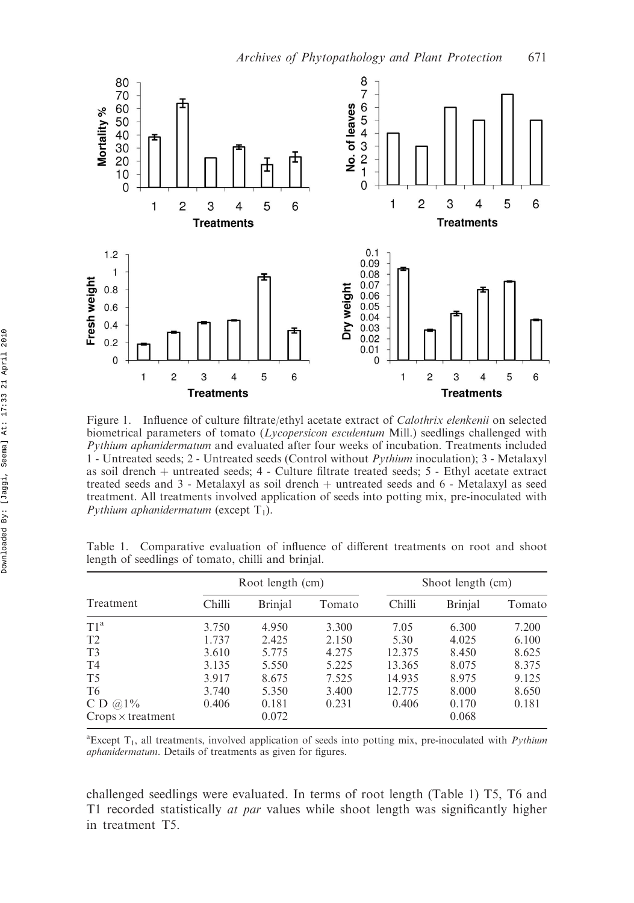

Figure 1. Influence of culture filtrate/ethyl acetate extract of *Calothrix elenkenii* on selected biometrical parameters of tomato (*Lycopersicon esculentum* Mill.) seedlings challenged with Pythium aphanidermatum and evaluated after four weeks of incubation. Treatments included 1 - Untreated seeds; 2 - Untreated seeds (Control without Pythium inoculation); 3 - Metalaxyl as soil drench  $+$  untreated seeds; 4 - Culture filtrate treated seeds; 5 - Ethyl acetate extract treated seeds and  $3$  - Metalaxyl as soil drench  $+$  untreated seeds and  $6$  - Metalaxyl as seed treatment. All treatments involved application of seeds into potting mix, pre-inoculated with Pythium aphanidermatum (except  $T_1$ ).

| Treatment                | Root length (cm) |                |        | Shoot length (cm) |                |        |
|--------------------------|------------------|----------------|--------|-------------------|----------------|--------|
|                          | Chilli           | <b>Brinjal</b> | Tomato | Chilli            | <b>Brinjal</b> | Tomato |
| T1 <sup>a</sup>          | 3.750            | 4.950          | 3.300  | 7.05              | 6.300          | 7.200  |
| T <sub>2</sub>           | 1.737            | 2.425          | 2.150  | 5.30              | 4.025          | 6.100  |
| T <sub>3</sub>           | 3.610            | 5.775          | 4.275  | 12.375            | 8.450          | 8.625  |
| T <sub>4</sub>           | 3.135            | 5.550          | 5.225  | 13.365            | 8.075          | 8.375  |
| T <sub>5</sub>           | 3.917            | 8.675          | 7.525  | 14.935            | 8.975          | 9.125  |
| T <sub>6</sub>           | 3.740            | 5.350          | 3.400  | 12.775            | 8.000          | 8.650  |
| C D $@1\%$               | 0.406            | 0.181          | 0.231  | 0.406             | 0.170          | 0.181  |
| $Crops \times treatment$ |                  | 0.072          |        |                   | 0.068          |        |

Table 1. Comparative evaluation of influence of different treatments on root and shoot length of seedlings of tomato, chilli and brinjal.

 ${}^{\text{a}}$ Except T<sub>1</sub>, all treatments, involved application of seeds into potting mix, pre-inoculated with *Pythium* aphanidermatum. Details of treatments as given for figures.

challenged seedlings were evaluated. In terms of root length (Table 1) T5, T6 and T1 recorded statistically *at par* values while shoot length was significantly higher in treatment T5.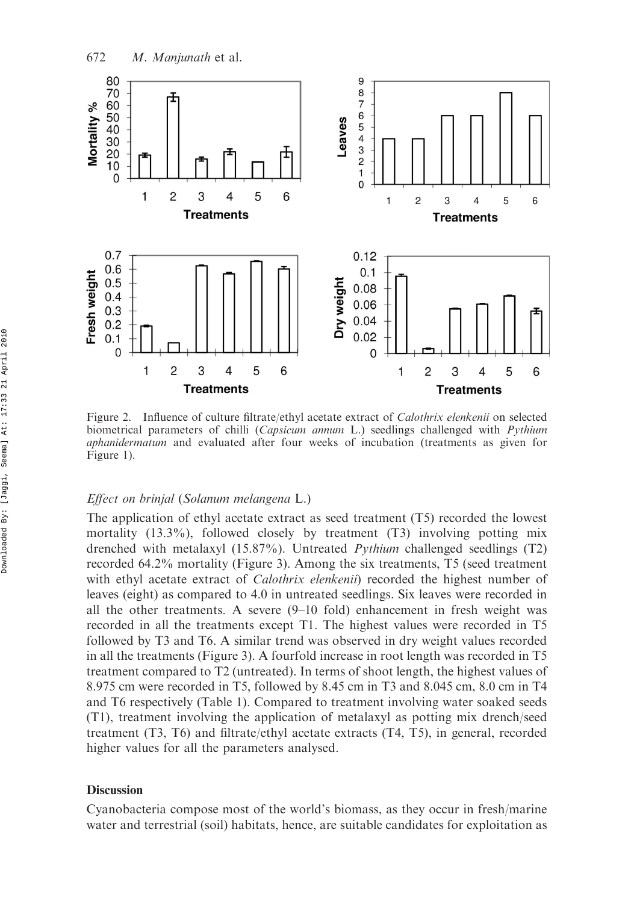

Figure 2. Influence of culture filtrate/ethyl acetate extract of *Calothrix elenkenii* on selected biometrical parameters of chilli (*Capsicum annum L.*) seedlings challenged with *Pythium* aphanidermatum and evaluated after four weeks of incubation (treatments as given for Figure 1).

### Effect on brinjal (Solanum melangena L.)

The application of ethyl acetate extract as seed treatment (T5) recorded the lowest mortality (13.3%), followed closely by treatment (T3) involving potting mix drenched with metalaxyl (15.87%). Untreated Pythium challenged seedlings (T2) recorded 64.2% mortality (Figure 3). Among the six treatments, T5 (seed treatment with ethyl acetate extract of *Calothrix elenkenii*) recorded the highest number of leaves (eight) as compared to 4.0 in untreated seedlings. Six leaves were recorded in all the other treatments. A severe (9–10 fold) enhancement in fresh weight was recorded in all the treatments except T1. The highest values were recorded in T5 followed by T3 and T6. A similar trend was observed in dry weight values recorded in all the treatments (Figure 3). A fourfold increase in root length was recorded in T5 treatment compared to T2 (untreated). In terms of shoot length, the highest values of 8.975 cm were recorded in T5, followed by 8.45 cm in T3 and 8.045 cm, 8.0 cm in T4 and T6 respectively (Table 1). Compared to treatment involving water soaked seeds (T1), treatment involving the application of metalaxyl as potting mix drench/seed treatment (T3, T6) and filtrate/ethyl acetate extracts (T4, T5), in general, recorded higher values for all the parameters analysed.

### **Discussion**

Cyanobacteria compose most of the world's biomass, as they occur in fresh/marine water and terrestrial (soil) habitats, hence, are suitable candidates for exploitation as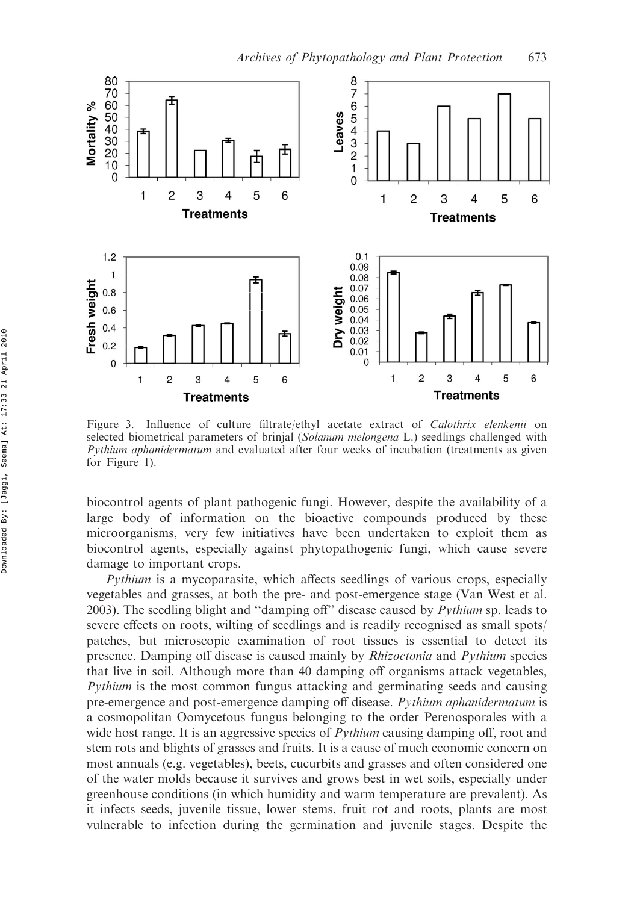

Figure 3. Influence of culture filtrate/ethyl acetate extract of *Calothrix elenkenii* on selected biometrical parameters of brinjal (Solanum melongena L.) seedlings challenged with Pythium aphanidermatum and evaluated after four weeks of incubation (treatments as given for Figure 1).

biocontrol agents of plant pathogenic fungi. However, despite the availability of a large body of information on the bioactive compounds produced by these microorganisms, very few initiatives have been undertaken to exploit them as biocontrol agents, especially against phytopathogenic fungi, which cause severe damage to important crops.

Pythium is a mycoparasite, which affects seedlings of various crops, especially vegetables and grasses, at both the pre- and post-emergence stage (Van West et al. 2003). The seedling blight and "damping off" disease caused by  $Python$  sp. leads to severe effects on roots, wilting of seedlings and is readily recognised as small spots/ patches, but microscopic examination of root tissues is essential to detect its presence. Damping off disease is caused mainly by *Rhizoctonia* and *Pythium* species that live in soil. Although more than 40 damping off organisms attack vegetables, Pythium is the most common fungus attacking and germinating seeds and causing pre-emergence and post-emergence damping off disease. Pythium aphanidermatum is a cosmopolitan Oomycetous fungus belonging to the order Perenosporales with a wide host range. It is an aggressive species of *Pythium* causing damping off, root and stem rots and blights of grasses and fruits. It is a cause of much economic concern on most annuals (e.g. vegetables), beets, cucurbits and grasses and often considered one of the water molds because it survives and grows best in wet soils, especially under greenhouse conditions (in which humidity and warm temperature are prevalent). As it infects seeds, juvenile tissue, lower stems, fruit rot and roots, plants are most vulnerable to infection during the germination and juvenile stages. Despite the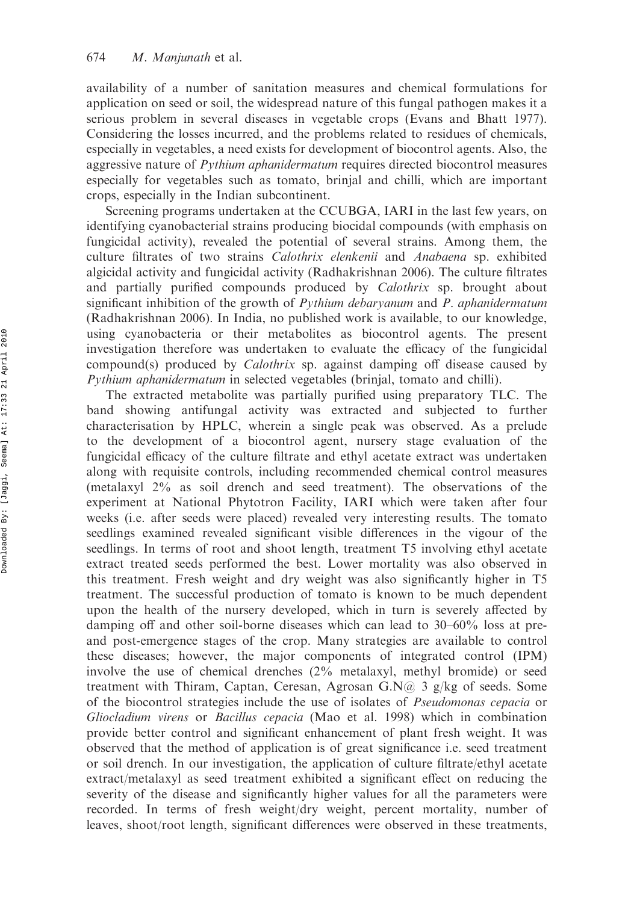availability of a number of sanitation measures and chemical formulations for application on seed or soil, the widespread nature of this fungal pathogen makes it a serious problem in several diseases in vegetable crops (Evans and Bhatt 1977). Considering the losses incurred, and the problems related to residues of chemicals, especially in vegetables, a need exists for development of biocontrol agents. Also, the aggressive nature of *Pythium aphanidermatum* requires directed biocontrol measures especially for vegetables such as tomato, brinjal and chilli, which are important crops, especially in the Indian subcontinent.

Screening programs undertaken at the CCUBGA, IARI in the last few years, on identifying cyanobacterial strains producing biocidal compounds (with emphasis on fungicidal activity), revealed the potential of several strains. Among them, the culture filtrates of two strains Calothrix elenkenii and Anabaena sp. exhibited algicidal activity and fungicidal activity (Radhakrishnan 2006). The culture filtrates and partially purified compounds produced by *Calothrix* sp. brought about significant inhibition of the growth of Pythium debaryanum and P. aphanidermatum (Radhakrishnan 2006). In India, no published work is available, to our knowledge, using cyanobacteria or their metabolites as biocontrol agents. The present investigation therefore was undertaken to evaluate the efficacy of the fungicidal compound(s) produced by *Calothrix* sp. against damping off disease caused by Pythium aphanidermatum in selected vegetables (brinjal, tomato and chilli).

The extracted metabolite was partially purified using preparatory TLC. The band showing antifungal activity was extracted and subjected to further characterisation by HPLC, wherein a single peak was observed. As a prelude to the development of a biocontrol agent, nursery stage evaluation of the fungicidal efficacy of the culture filtrate and ethyl acetate extract was undertaken along with requisite controls, including recommended chemical control measures (metalaxyl 2% as soil drench and seed treatment). The observations of the experiment at National Phytotron Facility, IARI which were taken after four weeks (i.e. after seeds were placed) revealed very interesting results. The tomato seedlings examined revealed significant visible differences in the vigour of the seedlings. In terms of root and shoot length, treatment T5 involving ethyl acetate extract treated seeds performed the best. Lower mortality was also observed in this treatment. Fresh weight and dry weight was also significantly higher in T5 treatment. The successful production of tomato is known to be much dependent upon the health of the nursery developed, which in turn is severely affected by damping off and other soil-borne diseases which can lead to 30–60% loss at preand post-emergence stages of the crop. Many strategies are available to control these diseases; however, the major components of integrated control (IPM) involve the use of chemical drenches (2% metalaxyl, methyl bromide) or seed treatment with Thiram, Captan, Ceresan, Agrosan G.N $\omega$  3 g/kg of seeds. Some of the biocontrol strategies include the use of isolates of Pseudomonas cepacia or Gliocladium virens or Bacillus cepacia (Mao et al. 1998) which in combination provide better control and significant enhancement of plant fresh weight. It was observed that the method of application is of great significance i.e. seed treatment or soil drench. In our investigation, the application of culture filtrate/ethyl acetate extract/metalaxyl as seed treatment exhibited a significant effect on reducing the severity of the disease and significantly higher values for all the parameters were recorded. In terms of fresh weight/dry weight, percent mortality, number of leaves, shoot/root length, significant differences were observed in these treatments,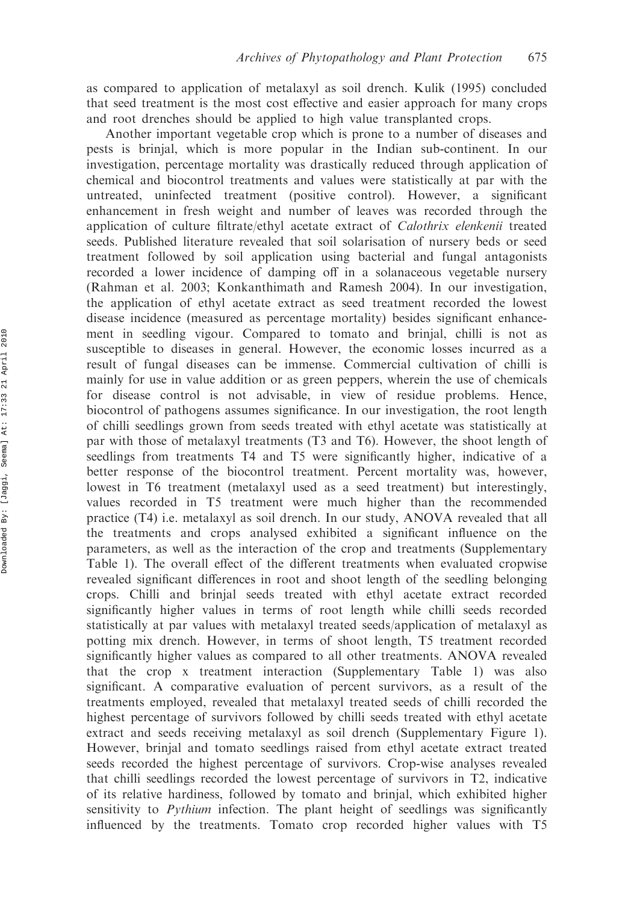as compared to application of metalaxyl as soil drench. Kulik (1995) concluded that seed treatment is the most cost effective and easier approach for many crops and root drenches should be applied to high value transplanted crops.

Another important vegetable crop which is prone to a number of diseases and pests is brinjal, which is more popular in the Indian sub-continent. In our investigation, percentage mortality was drastically reduced through application of chemical and biocontrol treatments and values were statistically at par with the untreated, uninfected treatment (positive control). However, a significant enhancement in fresh weight and number of leaves was recorded through the application of culture filtrate/ethyl acetate extract of Calothrix elenkenii treated seeds. Published literature revealed that soil solarisation of nursery beds or seed treatment followed by soil application using bacterial and fungal antagonists recorded a lower incidence of damping off in a solanaceous vegetable nursery (Rahman et al. 2003; Konkanthimath and Ramesh 2004). In our investigation, the application of ethyl acetate extract as seed treatment recorded the lowest disease incidence (measured as percentage mortality) besides significant enhancement in seedling vigour. Compared to tomato and brinjal, chilli is not as susceptible to diseases in general. However, the economic losses incurred as a result of fungal diseases can be immense. Commercial cultivation of chilli is mainly for use in value addition or as green peppers, wherein the use of chemicals for disease control is not advisable, in view of residue problems. Hence, biocontrol of pathogens assumes significance. In our investigation, the root length of chilli seedlings grown from seeds treated with ethyl acetate was statistically at par with those of metalaxyl treatments (T3 and T6). However, the shoot length of seedlings from treatments T4 and T5 were significantly higher, indicative of a better response of the biocontrol treatment. Percent mortality was, however, lowest in T6 treatment (metalaxyl used as a seed treatment) but interestingly, values recorded in T5 treatment were much higher than the recommended practice (T4) i.e. metalaxyl as soil drench. In our study, ANOVA revealed that all the treatments and crops analysed exhibited a significant influence on the parameters, as well as the interaction of the crop and treatments (Supplementary Table 1). The overall effect of the different treatments when evaluated cropwise revealed significant differences in root and shoot length of the seedling belonging crops. Chilli and brinjal seeds treated with ethyl acetate extract recorded significantly higher values in terms of root length while chilli seeds recorded statistically at par values with metalaxyl treated seeds/application of metalaxyl as potting mix drench. However, in terms of shoot length, T5 treatment recorded significantly higher values as compared to all other treatments. ANOVA revealed that the crop x treatment interaction (Supplementary Table 1) was also significant. A comparative evaluation of percent survivors, as a result of the treatments employed, revealed that metalaxyl treated seeds of chilli recorded the highest percentage of survivors followed by chilli seeds treated with ethyl acetate extract and seeds receiving metalaxyl as soil drench (Supplementary Figure 1). However, brinjal and tomato seedlings raised from ethyl acetate extract treated seeds recorded the highest percentage of survivors. Crop-wise analyses revealed that chilli seedlings recorded the lowest percentage of survivors in T2, indicative of its relative hardiness, followed by tomato and brinjal, which exhibited higher sensitivity to *Pythium* infection. The plant height of seedlings was significantly influenced by the treatments. Tomato crop recorded higher values with T5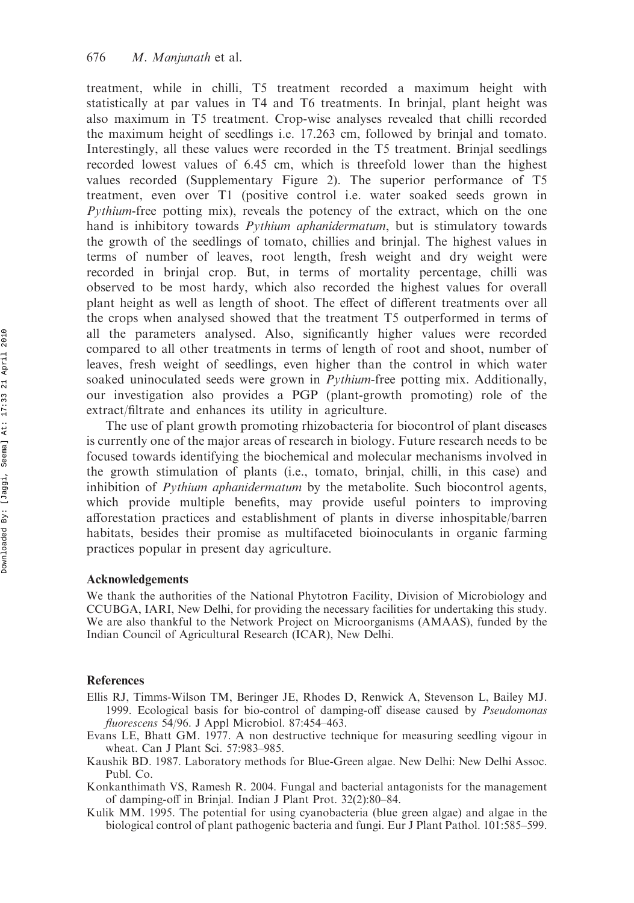treatment, while in chilli, T5 treatment recorded a maximum height with statistically at par values in T4 and T6 treatments. In brinjal, plant height was also maximum in T5 treatment. Crop-wise analyses revealed that chilli recorded the maximum height of seedlings i.e. 17.263 cm, followed by brinjal and tomato. Interestingly, all these values were recorded in the T5 treatment. Brinjal seedlings recorded lowest values of 6.45 cm, which is threefold lower than the highest values recorded (Supplementary Figure 2). The superior performance of T5 treatment, even over T1 (positive control i.e. water soaked seeds grown in Pythium-free potting mix), reveals the potency of the extract, which on the one hand is inhibitory towards Pythium aphanidermatum, but is stimulatory towards the growth of the seedlings of tomato, chillies and brinjal. The highest values in terms of number of leaves, root length, fresh weight and dry weight were recorded in brinjal crop. But, in terms of mortality percentage, chilli was observed to be most hardy, which also recorded the highest values for overall plant height as well as length of shoot. The effect of different treatments over all the crops when analysed showed that the treatment T5 outperformed in terms of all the parameters analysed. Also, significantly higher values were recorded compared to all other treatments in terms of length of root and shoot, number of leaves, fresh weight of seedlings, even higher than the control in which water soaked uninoculated seeds were grown in *Pythium-free potting mix.* Additionally, our investigation also provides a PGP (plant-growth promoting) role of the extract/filtrate and enhances its utility in agriculture.

The use of plant growth promoting rhizobacteria for biocontrol of plant diseases is currently one of the major areas of research in biology. Future research needs to be focused towards identifying the biochemical and molecular mechanisms involved in the growth stimulation of plants (i.e., tomato, brinjal, chilli, in this case) and inhibition of *Pythium aphanidermatum* by the metabolite. Such biocontrol agents, which provide multiple benefits, may provide useful pointers to improving afforestation practices and establishment of plants in diverse inhospitable/barren habitats, besides their promise as multifaceted bioinoculants in organic farming practices popular in present day agriculture.

#### Acknowledgements

We thank the authorities of the National Phytotron Facility, Division of Microbiology and CCUBGA, IARI, New Delhi, for providing the necessary facilities for undertaking this study. We are also thankful to the Network Project on Microorganisms (AMAAS), funded by the Indian Council of Agricultural Research (ICAR), New Delhi.

## **References**

- Ellis RJ, Timms-Wilson TM, Beringer JE, Rhodes D, Renwick A, Stevenson L, Bailey MJ. 1999. Ecological basis for bio-control of damping-off disease caused by Pseudomonas fluorescens 54/96. J Appl Microbiol. 87:454-463.
- Evans LE, Bhatt GM. 1977. A non destructive technique for measuring seedling vigour in wheat. Can J Plant Sci. 57:983–985.
- Kaushik BD. 1987. Laboratory methods for Blue-Green algae. New Delhi: New Delhi Assoc. Publ. Co.
- Konkanthimath VS, Ramesh R. 2004. Fungal and bacterial antagonists for the management of damping-off in Brinjal. Indian J Plant Prot. 32(2):80–84.
- Kulik MM. 1995. The potential for using cyanobacteria (blue green algae) and algae in the biological control of plant pathogenic bacteria and fungi. Eur J Plant Pathol. 101:585–599.